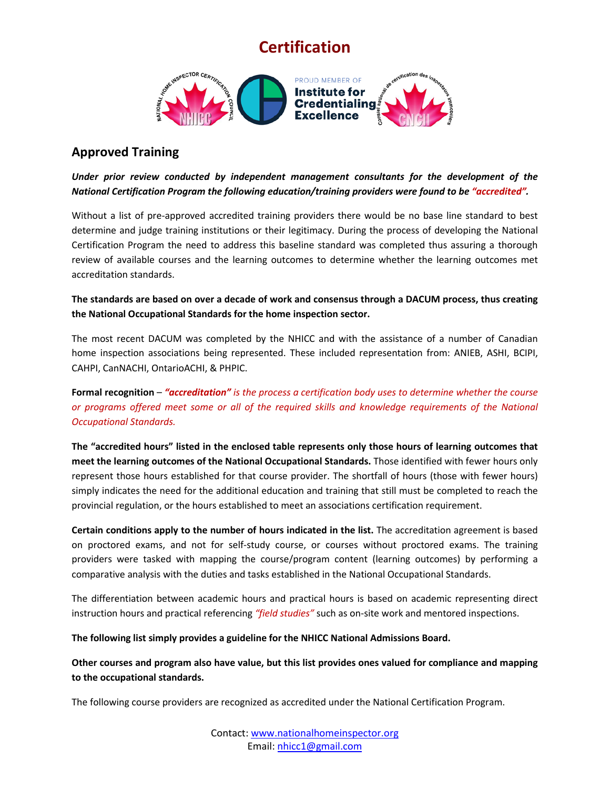## **Certification**



## **Approved Training**

*Under prior review conducted by independent management consultants for the development of the National Certification Program the following education/training providers were found to be "accredited".* 

Without a list of pre-approved accredited training providers there would be no base line standard to best determine and judge training institutions or their legitimacy. During the process of developing the National Certification Program the need to address this baseline standard was completed thus assuring a thorough review of available courses and the learning outcomes to determine whether the learning outcomes met accreditation standards.

**The standards are based on over a decade of work and consensus through a DACUM process, thus creating the National Occupational Standards for the home inspection sector.**

The most recent DACUM was completed by the NHICC and with the assistance of a number of Canadian home inspection associations being represented. These included representation from: ANIEB, ASHI, BCIPI, CAHPI, CanNACHI, OntarioACHI, & PHPIC.

**Formal recognition** – *"accreditation" is the process a certification body uses to determine whether the course or programs offered meet some or all of the required skills and knowledge requirements of the National Occupational Standards.*

**The "accredited hours" listed in the enclosed table represents only those hours of learning outcomes that meet the learning outcomes of the National Occupational Standards.** Those identified with fewer hours only represent those hours established for that course provider. The shortfall of hours (those with fewer hours) simply indicates the need for the additional education and training that still must be completed to reach the provincial regulation, or the hours established to meet an associations certification requirement.

**Certain conditions apply to the number of hours indicated in the list.** The accreditation agreement is based on proctored exams, and not for self-study course, or courses without proctored exams. The training providers were tasked with mapping the course/program content (learning outcomes) by performing a comparative analysis with the duties and tasks established in the National Occupational Standards.

The differentiation between academic hours and practical hours is based on academic representing direct instruction hours and practical referencing *"field studies"* such as on-site work and mentored inspections.

**The following list simply provides a guideline for the NHICC National Admissions Board.** 

**Other courses and program also have value, but this list provides ones valued for compliance and mapping to the occupational standards.** 

The following course providers are recognized as accredited under the National Certification Program.